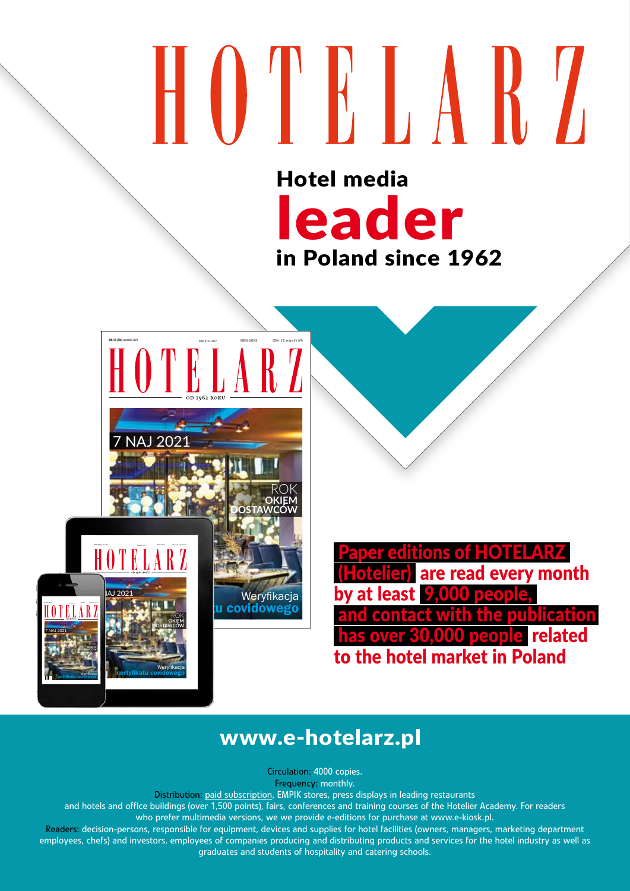## HOTKARZ Hotel media

leader

in Poland since 1962

INDEKS 385018 CENA 15 ZŁ (w tym 8% VAT) ISSN 0137-7612 **NR 12 (706)** grudzień 2021 NAJ 2021 rok **okiem dostawców** Weryfikacja covidowego INDEKS 385018 CENA 15 ZŁ (w tym 8% VAT) ISSN 0137-7612 **NR 12 (706)** grudzień 2021  $\blacksquare$   $\blacksquare$   $\blacksquare$   $\blacksquare$  2021 rok **okiem dostawców** Weryfikacja INDEKS 385018 CENA 15 ZŁ (w tym 8% VAT) ISSN 0137-7612 **NR 12 (706)** grudzień 2021 7 NAJ 2021 **okiem dostawców**

certyfikatu covidowego

Weryfikacja certyfikatu covidowego

of HOTELARZ are read every month by at least 9,000 **blication** related to the hotel market in Poland

#### www.e-hotelarz.pl

Circulation: 4000 copies. Frequency: monthly.

Distribution: paid subscription, EMPIK stores, press displays in leading restaurants

and hotels and office buildings (over 1,500 points), fairs, conferences and training courses of the Hotelier Academy. For readers who prefer multimedia versions, we we provide e-editions for purchase at www.e-kiosk.pl.

Readers: decision-persons, responsible for equipment, devices and supplies for hotel facilities (owners, managers, marketing department employees, chefs) and investors, employees of companies producing and distributing products and services for the hotel industry as well as graduates and students of hospitality and catering schools.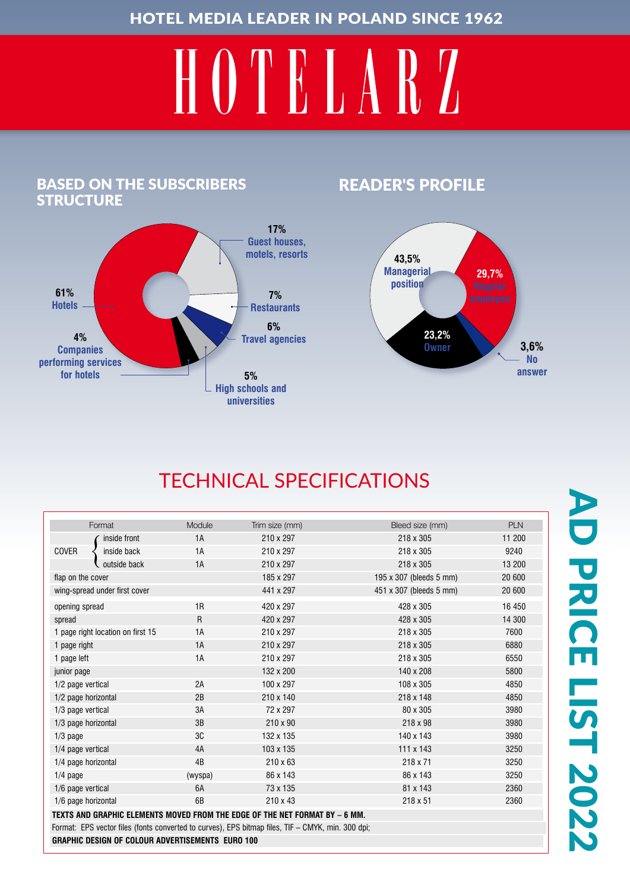# HOTELARZ

#### Based on the subscribers **STRUCTURE**



#### READER'S PROFILE



### TECHNICAL SPECIFICATIONS

|                                                                                                   | Format       | Module  | Trim size (mm)  | Bleed size (mm)         | <b>PLN</b> |
|---------------------------------------------------------------------------------------------------|--------------|---------|-----------------|-------------------------|------------|
|                                                                                                   | inside front | 1A      | 210 x 297       | 218 x 305               | 11 200     |
| <b>COVER</b>                                                                                      | inside back  | 1A      | 210 x 297       | 218 x 305               | 9240       |
|                                                                                                   | outside back | 1A      | 210 x 297       | 218 x 305               | 13 200     |
| flap on the cover                                                                                 |              |         | 185 x 297       | 195 x 307 (bleeds 5 mm) | 20 600     |
| wing-spread under first cover                                                                     |              |         | 441 x 297       | 451 x 307 (bleeds 5 mm) | 20 600     |
| opening spread                                                                                    |              | 1R      | 420 x 297       | 428 x 305               | 16 450     |
| spread                                                                                            |              | R       | 420 x 297       | 428 x 305               | 14 300     |
| 1 page right location on first 15                                                                 |              | 1A      | 210 x 297       | 218 x 305               | 7600       |
| 1 page right                                                                                      |              | 1A      | 210 x 297       | 218 x 305               | 6880       |
| 1 page left                                                                                       |              | 1A      | 210 x 297       | 218 x 305               | 6550       |
| junior page                                                                                       |              |         | 132 x 200       | 140 x 208               | 5800       |
| 1/2 page vertical                                                                                 |              | 2A      | 100 x 297       | 108 x 305               | 4850       |
| 1/2 page horizontal                                                                               |              | 2B      | 210 x 140       | 218 x 148               | 4850       |
| 1/3 page vertical                                                                                 |              | 3A      | 72 x 297        | 80 x 305                | 3980       |
| 1/3 page horizontal                                                                               |              | 3B      | $210 \times 90$ | 218 x 98                | 3980       |
| $1/3$ page                                                                                        |              | 3C      | 132 x 135       | 140 x 143               | 3980       |
| 1/4 page vertical                                                                                 |              | 4A      | 103 x 135       | 111 x 143               | 3250       |
| 1/4 page horizontal                                                                               |              | 4B      | $210 \times 63$ | 218 x 71                | 3250       |
| $1/4$ page                                                                                        |              | (wyspa) | 86 x 143        | 86 x 143                | 3250       |
| 1/6 page vertical                                                                                 |              | 6A      | 73 x 135        | 81 x 143                | 2360       |
| 1/6 page horizontal                                                                               |              | 6B      | 210 x 43        | $218 \times 51$         | 2360       |
| TEXTS AND GRAPHIC ELEMENTS MOVED FROM THE EDGE OF THE NET FORMAT BY - 6 MM.                       |              |         |                 |                         |            |
| Format: EPS vector files (fonts converted to curves), EPS bitmap files, TIF - CMYK, min. 300 dpi; |              |         |                 |                         |            |
| <b>GRAPHIC DESIGN OF COLOUR ADVERTISEMENTS EURO 100</b>                                           |              |         |                 |                         |            |
|                                                                                                   |              |         |                 |                         |            |